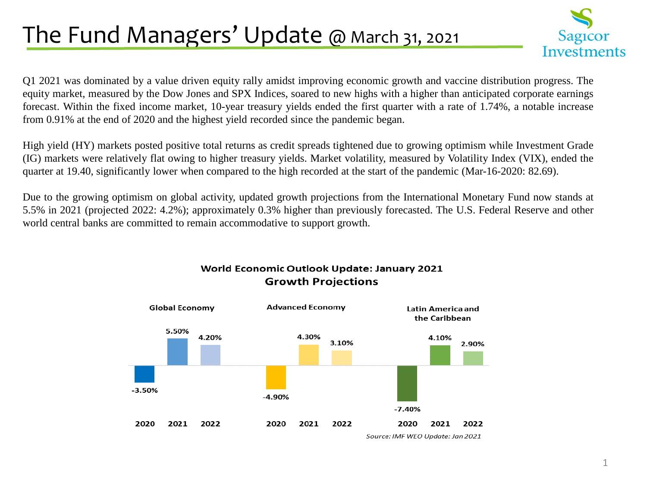## The Fund Managers' Update @ March 31, 2021



Q1 2021 was dominated by a value driven equity rally amidst improving economic growth and vaccine distribution progress. The equity market, measured by the Dow Jones and SPX Indices, soared to new highs with a higher than anticipated corporate earnings forecast. Within the fixed income market, 10-year treasury yields ended the first quarter with a rate of 1.74%, a notable increase from 0.91% at the end of 2020 and the highest yield recorded since the pandemic began.

High yield (HY) markets posted positive total returns as credit spreads tightened due to growing optimism while Investment Grade (IG) markets were relatively flat owing to higher treasury yields. Market volatility, measured by Volatility Index (VIX), ended the quarter at 19.40, significantly lower when compared to the high recorded at the start of the pandemic (Mar-16-2020: 82.69).

Due to the growing optimism on global activity, updated growth projections from the International Monetary Fund now stands at 5.5% in 2021 (projected 2022: 4.2%); approximately 0.3% higher than previously forecasted. The U.S. Federal Reserve and other world central banks are committed to remain accommodative to support growth.



World Economic Outlook Update: January 2021 **Growth Projections** 

<sup>1</sup>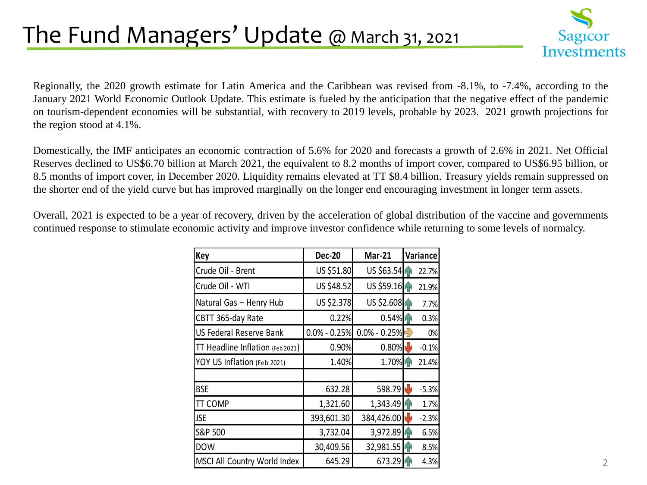### The Fund Managers' Update @ March 31, 2021



Regionally, the 2020 growth estimate for Latin America and the Caribbean was revised from -8.1%, to -7.4%, according to the January 2021 World Economic Outlook Update. This estimate is fueled by the anticipation that the negative effect of the pandemic on tourism-dependent economies will be substantial, with recovery to 2019 levels, probable by 2023. 2021 growth projections for the region stood at 4.1%.

Domestically, the IMF anticipates an economic contraction of 5.6% for 2020 and forecasts a growth of 2.6% in 2021. Net Official Reserves declined to US\$6.70 billion at March 2021, the equivalent to 8.2 months of import cover, compared to US\$6.95 billion, or 8.5 months of import cover, in December 2020. Liquidity remains elevated at TT \$8.4 billion. Treasury yields remain suppressed on the shorter end of the yield curve but has improved marginally on the longer end encouraging investment in longer term assets.

Overall, 2021 is expected to be a year of recovery, driven by the acceleration of global distribution of the vaccine and governments continued response to stimulate economic activity and improve investor confidence while returning to some levels of normalcy.

| <b>Key</b>                       | <b>Dec-20</b>    | <b>Mar-21</b>    | Variance |
|----------------------------------|------------------|------------------|----------|
| Crude Oil - Brent                | US \$51.80       | US \$63.54       | 22.7%    |
| Crude Oil - WTI                  | US \$48.52       | US \$59.16       | 21.9%    |
| Natural Gas - Henry Hub          | US \$2.378       | US \$2.608       | 7.7%     |
| CBTT 365-day Rate                | 0.22%            | $0.54\%$         | 0.3%     |
| US Federal Reserve Bank          | $0.0\% - 0.25\%$ | $0.0\% - 0.25\%$ | 0%       |
| TT Headline Inflation (Feb 2021) | 0.90%            | 0.80%            | $-0.1%$  |
| YOY US Inflation (Feb 2021)      | 1.40%            | 1.70%            | 21.4%    |
|                                  |                  |                  |          |
| <b>BSE</b>                       | 632.28           | 598.79           | $-5.3%$  |
| TT COMP                          | 1,321.60         | 1,343.49         | 1.7%     |
| <b>JSE</b>                       | 393,601.30       | 384,426.00       | $-2.3%$  |
| S&P 500                          | 3,732.04         | 3,972.89         | 6.5%     |
| <b>DOW</b>                       | 30,409.56        | 32,981.55        | 8.5%     |
| MSCI All Country World Index     | 645.29           | 673.29           | 4.3%     |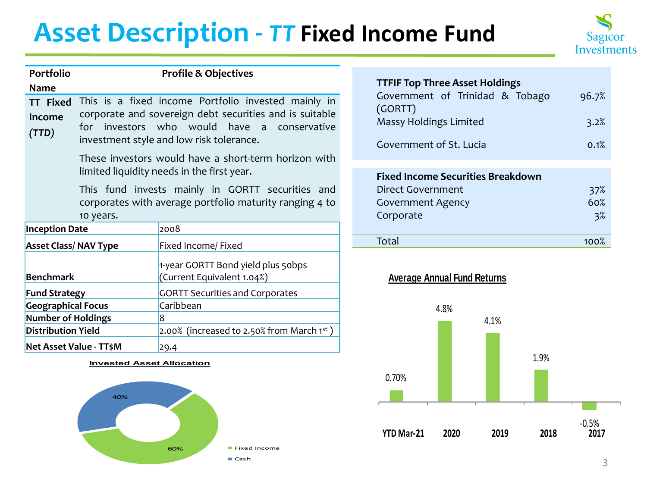# **Asset Description -** *TT* **Fixed Income Fund**



| <b>Portfolio</b>                   | <b>Profile &amp; Objectives</b>                                                                                                                                                                              |                                                                  |  |  |  |
|------------------------------------|--------------------------------------------------------------------------------------------------------------------------------------------------------------------------------------------------------------|------------------------------------------------------------------|--|--|--|
| Name                               |                                                                                                                                                                                                              |                                                                  |  |  |  |
| <b>TT Fixed</b><br>Income<br>(TTD) | This is a fixed income Portfolio invested mainly in<br>corporate and sovereign debt securities and is suitable<br>for investors who would have<br>a conservative<br>investment style and low risk tolerance. |                                                                  |  |  |  |
|                                    | These investors would have a short-term horizon with<br>limited liquidity needs in the first year.                                                                                                           |                                                                  |  |  |  |
|                                    | This fund invests mainly in GORTT securities and<br>corporates with average portfolio maturity ranging 4 to<br>10 years.                                                                                     |                                                                  |  |  |  |
|                                    | <b>Inception Date</b><br>2008                                                                                                                                                                                |                                                                  |  |  |  |
| <b>Asset Class/ NAV Type</b>       |                                                                                                                                                                                                              | Fixed Income/ Fixed                                              |  |  |  |
| <b>Benchmark</b>                   |                                                                                                                                                                                                              | 1-year GORTT Bond yield plus 50bps<br>(Current Equivalent 1.04%) |  |  |  |
| <b>Fund Strategy</b>               |                                                                                                                                                                                                              | <b>GORTT Securities and Corporates</b>                           |  |  |  |
| <b>Geographical Focus</b>          |                                                                                                                                                                                                              | Caribbean                                                        |  |  |  |
| <b>Number of Holdings</b>          |                                                                                                                                                                                                              | 8                                                                |  |  |  |
| <b>Distribution Yield</b>          |                                                                                                                                                                                                              | 2.00% (increased to 2.50% from March 1st)                        |  |  |  |
|                                    | Net Asset Value - TT\$M                                                                                                                                                                                      | 29.4                                                             |  |  |  |

#### **Invested Asset Allocation**



| <b>TTFIF Top Three Asset Holdings</b> |       |  |  |  |
|---------------------------------------|-------|--|--|--|
| Government of Trinidad & Tobago       | 96.7% |  |  |  |
| (GORTT)                               |       |  |  |  |
| Massy Holdings Limited                | 3.2%  |  |  |  |
|                                       |       |  |  |  |
| Government of St. Lucia               | 0.1%  |  |  |  |

| <b>Fixed Income Securities Breakdown</b> |      |
|------------------------------------------|------|
| Direct Government                        | 37%  |
| <b>Government Agency</b>                 | 60%  |
| Corporate                                | 3%   |
|                                          |      |
| Total                                    | 100% |



#### **Average Annual Fund Returns**